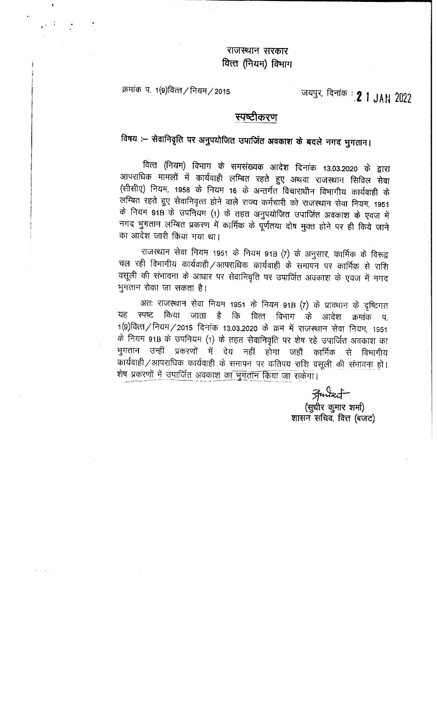# -<br>राजस्थान सरकार<br>गेत्त (नियम) विभाग -<br>राजस्थान सरकार<br>वित्त (नियम) विभाग

क्रमांक प. 1(9)वित्त/नियम/2015

जयपुर, दिनांक : 2 1 JAN 2022

## स्पष्टीकरण

faषय :— सेवानिवृति पर अनुपयोजित उपार्जित अवकाश के बदले नगद भुगतान।<br><sup>|</sup><br>वित्त (नियम) विभाग के समसंख्यक आदेश दिनांक 13.03.2020 के द्वारा 3ff~ ~ # 4i14q1tf1 ~ m ~ ~-qf ~ fufctc;J mr वित्त (नियम) विभाग के समसंख्यक आदेश दिनांक 13.03.2020 के द्वारा<br>आपराधिक मामलों में कार्यवाही लम्बित रहते हुए अथवा राजस्थान सिविल सेवा<br>(सीसीए) नियम, 1958 के नियम 16 के अन्तर्गत विचाराधीन विभागीय कार्यवाही के<br>लम्बित रहते हु <sup>1963</sup> ।<sup>961</sup> (1944) विभाग के समसंख्यक आदेश दिनांक 13.03.2020 के द्वारा<br>आपराधिक मामलों में कार्यवाही लम्बित रहते हुए अथवा राजस्थान सिविल सेवा<br>(सीसीए) नियम, 1958 के नियम 16 के अन्तर्गत विचाराधीन विभागीय कार्यवाही के<br>लम्बित (सासाए) नियम, 1958 के नियम 16 के अन्तर्गत विचाराधीन विभागीय कार्यवाही के<br>लम्बित रहते हुए सेवानिवृत्त होने वाले राज्य कर्मचारी को राजस्थान सेवा नियम, 1951<br>के नियम 91B के उपनियम (1) के तहत अनुपयोजित उपाजित अवकाश के एवज में<br> लाम्बत रहते हुए सेवानिवृत्त होने वाले राज्य कर्मचारी को राजस्थान सेवा नियम, 1951<br>के नियम 91B के उपनियम (1) के तहत अनुपयोजित उपार्जित अवकाश के एवज में<br>नगद भुगतान लम्बित प्रकरण में कार्मिक के पूर्णतया दोष मुक्त होने पर ही क ''' '''पंग अ'B के उपानयन (1) के तहत अनुपयाजित उपाजित अवकाश के एवज में<br>नगद भुगतान लम्बित प्रकरण में कार्मिक के पूर्णतया दोष मुक्त होने पर ही किये जाने<br>का आदेश जारी किया गया था।<br>वल रही विभागीय कार्यवाही ⁄ आपराधिक कार्यवाही

~ ffl ~ cf114cmfl/3TI1Nfletcf; chl4cII~ ~ Xi~IYrf ~ ~ "it xJfu <sup>राजस्थान सेवा नियम 1951 के नियम 91B (7) के अनुसार, कार्मिक के विरूद्व<br>चल रही विभागीय कार्यवाही ⁄आपराधिक कार्यवाही के समापन पर कार्मिक से राशि<br>वसूली की संभावना के आधार पर सेवानिवृति पर उपार्जित अवकाश के एवज में नगद<br>भगतान </sup> :fl~~"GJT~tl र स्वर्गमान नगरबालां/ जानसायक चगववाहा का समापन पर कामिक से शांश<br>की संभावना के आधार पर सेवानिवृति पर उपार्जित अवकाश के एवज में नगद<br>अतः राजस्थान सेवा नियम 1951 के नियम 91B (7) के प्रावधान के दृष्टिगत<br>स्पष्ट किया जाता - है क

<To ~ ~m "GTI"ITT *t* fcr> fcrrn TTflTilT ~ .~ ffil1Tcp tf. ँ<br>अतः राजस्थान सेवा नियम 1951 के नियम 91B (7) के प्रावधान के दृष्टिगत<br>यह स्पष्ट किया जाता है कि वित्त विभाग के आदेश क्रमांक प.<br>1(9)वित्त/ नियम/2015 दिनांक 13.03.2020 के क्रम में राजस्थान सेवा नियम, 1951<br>के नियम यह स्पष्ट किया जाता है कि वित्त विभाग के आदेश क्रमांक प.<br>1(9)वित्त/नियम/2015 दिनांक 13.03.2020 के क्रम में राजस्थान सेवा नियम, 1951<br>के नियम 91B के उपनियम (1) के तहत सेवानिवृति पर शेष रहे उपार्जित अवकाश का<br>भगतान उन्हीं प 1(9)वित्तं / नियम / 2015 दिनांक 13.03.2020 के क्रम में राजस्थान सेवा नियम, 1951<br>के नियम 91B के उपनियम (1) के तहत सेवानिवृति पर शेष रहे उपार्जित अवकाश का<br>भुगतान उन्हीं प्रकरणों में देय शेष प्रकरणों में उपार्जित अवकाश क<u>ा भूगतान किया जा सकेगा।</u> कार्यवाही /आपराधिक कार्यवाही के समापन पर कतिपय राशि वसूली <u>की संभावना</u> हो। ------ ---- -- ------------------ ----- - --- ~

्र*तिर्फ्य*न्टर्ने<br>(सुधीर कुमार शर्मा) शासन सचिव, वित्त (बजट)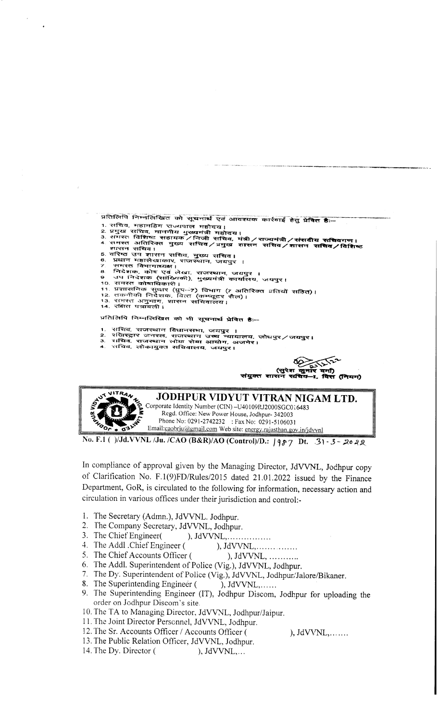प्रतिलिपि निम्नलिखित को सूचनार्थ एवं आवश्यक कार्रवाई हेतु प्रेषित है:--

- 
- 
- 1. सचिव, महामहिम राज्यपाल महोदय आवरदवा कारवाइ हतु प्रावत हः--<br>2. प्रमुख सचिव, माननीय मुख्यमंत्री महोदय।<br>3. समस्त विशिष्ट सहायक ⁄ निजी सचिव, मंत्री ⁄ राज्यमंत्री ⁄ संसदीय सचिवगण।<br>4. समस्त अतिरिक्त मुख्य सचिव ⁄ प्रमुख शासन सविव / विशिष्ट शासन सचिव ।<br>5. यरिष्ठ उप शासन सचिव, मुख्य सचिव ।<br>6. प्रधान महालेखाकार, राजस्थान, जयपुर ।<br>7. समस्त विभागाध्यक्ष ।<br>8. निदेशक, कोष एवं लेखा, राजस्थान, जयपुर ।<br>9. जमस्त कोषाधिकारी ।<br>9. उपासनिक सुधार (पुप--7) विभाग (7 अतिरिक्त
- 
- 
- 
- 
- 
- 
- 
- 

प्रतिलिपि निम्नलिखित को भी सूचनार्थ <mark>प्रेषित है</mark>:--

- 
- सचिव, राजस्थान विधानसभा, जयपुर ।<br>रक्षिस्ट्रार जनरल, राजस्थान उच्च न्यायालय, जोधपुर ⁄ जयपुर।<br>राधिव, राजस्थान लोक सेवा आयोग, अजमेर।<br>राचिव, लोकायुक्त सचिवालय, जयपुर।  $\mathbf{z}$
- 



No. F.1 ( )/Jd.VVNL /Ju. /CAO (B&R)/AO (Control)/D.: 1987 Dt. 31-3-2022

In compliance of approval given by the Managing Director, JdVVNL, Jodhpur copy of Clarification No. F.1(9)FD/Rules/2015 dated 21.01.2022 issued by the Finance Department, GoR, is circulated to the following for information, necessary action and circulation in various offices under their jurisdiction and control:-

- 1. The Secretary (Admn.), JdVVNL. Jodhpur.
- 2. The Company Secretary, JdVVNL, Jodhpur.
- 3. The Chief Engineer(  $), JdVVNL, \ldots, \ldots, \ldots, \ldots$
- ), JdVVNL,............... 4. The Addl . Chief Engineer (
- 5. The Chief Accounts Officer (
- ),  $JdVVNL$ , ........... 6. The Addl. Superintendent of Police (Vig.), JdVVNL, Jodhpur.
- 7. The Dy. Superintendent of Police (Vig.), JdVVNL, Jodhpur/Jalore/Bikaner.
- 8. The Superintending Engineer (  $),$  JdVVNL,......
- 9. The Superintending Engineer (IT), Jodhpur Discom, Jodhpur for uploading the order on Jodhpur Discom's site.
- 10. The TA to Managing Director, JdVVNL, Jodhpur/Jaipur.
- 11. The Joint Director Personnel, JdVVNL, Jodhpur.
- 12. The Sr. Accounts Officer / Accounts Officer (
- 13. The Public Relation Officer, JdVVNL, Jodhpur.
- 14. The Dy. Director ( ),  $JdVVNL,...$

 $),$  JdVVNL,  $, \ldots, \ldots$ 

.<br>T (नियम)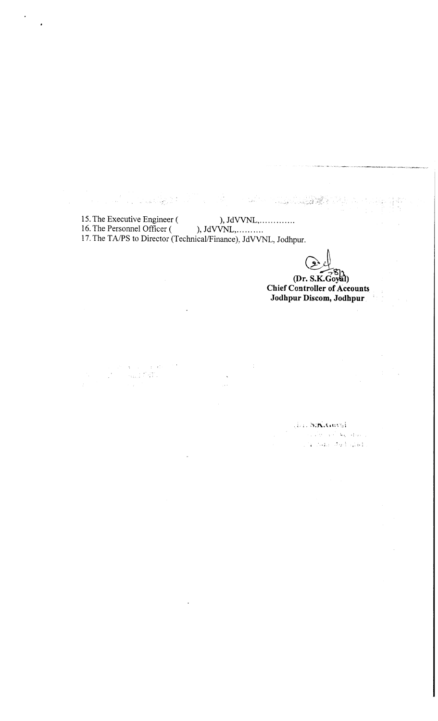15. The Executive Engineer (
), JdVVNL,.............. 16. The Personnel Officer  $($  ), JdVVNL, ... ... ... 17. The TA/PS to Director (Technical/Finance), JdVVNL, Jodhpur.

 $\label{eq:2.1} \begin{array}{l} \sum_{i=1}^n \left\| \sum_{i=1}^n \left\| \sum_{j=1}^n \right\| \mathcal{L}_j \right\|_2^2\\ \sum_{i=1}^n \left\| \sum_{i=1}^n \left\| \sum_{j=1}^n \mathcal{L}_j \right\|_2^2 \end{array}$ 

Sys.

an Indonesia<br>Panggung Paliti  $\pm$  10  $\pm$  1

 $\frac{1}{2} \frac{1}{2} \frac{1}{2}$ 

 $\left(\begin{array}{c}\n\bullet \\
\bullet\n\end{array}\right)$ <br>  $S.K. Goval$ 

 $\frac{1}{4}$ 

**(2)**<br>(Dr. S.K.Goyal)<br> **Controller of Acce Chief Controller of Accounts Jodhpur Discom, Jodhpur ;** 

J. S.K.Gaysi

 $\label{eq:3.1} \left\langle \left\langle \psi_{\alpha\beta} \right\rangle \right\rangle \left\langle \psi_{\alpha\beta} \right\rangle \left\langle \psi_{\alpha\beta} \right\rangle \left\langle \psi_{\alpha\beta} \right\rangle \left\langle \psi_{\alpha\beta} \right\rangle \left\langle \psi_{\alpha\beta} \right\rangle \left\langle \psi_{\alpha\beta} \right\rangle$  $\mathbf{1}_{\mathbf{1}}\otimes\mathbf{1}_{\mathbf{2}}\otimes\mathbf{1}_{\mathbf{3}}\otimes\mathbf{1}_{\mathbf{4}}\otimes\mathbf{1}_{\mathbf{5}}$